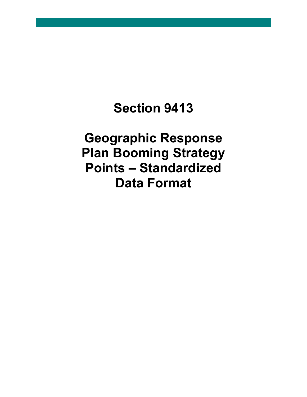## **Section 9413**

**Geographic Response Plan Booming Strategy Points – Standardized Data Format**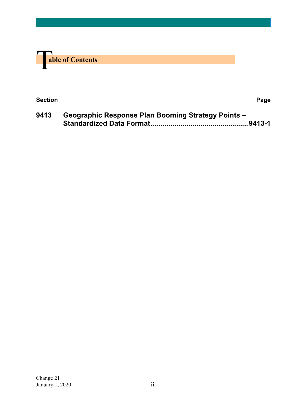

| <b>Section</b> | Page |
|----------------|------|
|                |      |

**9413 Geographic Response Plan Booming Strategy Points – Standardized Data Format.................................................9413-1**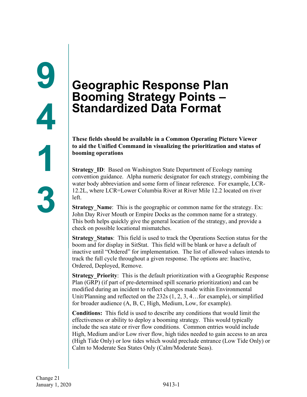## **Geographic Response Plan Booming Strategy Points – Standardized Data Format**

**These fields should be available in a Common Operating Picture Viewer to aid the Unified Command in visualizing the prioritization and status of booming operations**

**Strategy ID:** Based on Washington State Department of Ecology naming convention guidance. Alpha numeric designator for each strategy, combining the water body abbreviation and some form of linear reference. For example, LCR-12.2L, where LCR=Lower Columbia River at River Mile 12.2 located on river left.

**Strategy** Name: This is the geographic or common name for the strategy. Ex: John Day River Mouth or Empire Docks as the common name for a strategy. This both helps quickly give the general location of the strategy, and provide a check on possible locational mismatches.

**Strategy Status**: This field is used to track the Operations Section status for the boom and for display in SitStat. This field will be blank or have a default of inactive until "Ordered" for implementation. The list of allowed values intends to track the full cycle throughout a given response. The options are: Inactive, Ordered, Deployed, Remove.

**Strategy Priority:** This is the default prioritization with a Geographic Response Plan (GRP) (if part of pre-determined spill scenario prioritization) and can be modified during an incident to reflect changes made within Environmental Unit/Planning and reflected on the 232s (1, 2, 3, 4…for example), or simplified for broader audience (A, B, C, High, Medium, Low, for example).

**Conditions:** This field is used to describe any conditions that would limit the effectiveness or ability to deploy a booming strategy. This would typically include the sea state or river flow conditions. Common entries would include High, Medium and/or Low river flow, high tides needed to gain access to an area (High Tide Only) or low tides which would preclude entrance (Low Tide Only) or Calm to Moderate Sea States Only (Calm/Moderate Seas).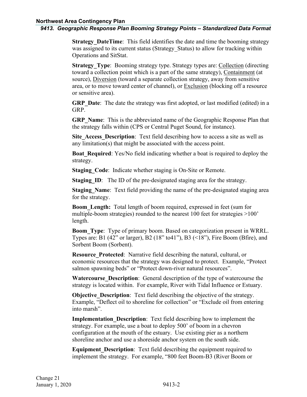## *9413. Geographic Response Plan Booming Strategy Points – Standardized Data Format*

**Strategy DateTime**: This field identifies the date and time the booming strategy was assigned to its current status (Strategy Status) to allow for tracking within Operations and SitStat.

**Strategy Type:** Booming strategy type. Strategy types are: Collection (directing toward a collection point which is a part of the same strategy), Containment (at source), Diversion (toward a separate collection strategy, away from sensitive area, or to move toward center of channel), or Exclusion (blocking off a resource or sensitive area).

**GRP** Date: The date the strategy was first adopted, or last modified (edited) in a GRP.

**GRP** Name: This is the abbreviated name of the Geographic Response Plan that the strategy falls within (CPS or Central Puget Sound, for instance).

**Site Access Description**: Text field describing how to access a site as well as any limitation(s) that might be associated with the access point.

**Boat Required:** Yes/No field indicating whether a boat is required to deploy the strategy.

**Staging Code:** Indicate whether staging is On-Site or Remote.

**Staging ID:** The ID of the pre-designated staging area for the strategy.

**Staging Name:** Text field providing the name of the pre-designated staging area for the strategy.

**Boom** Length: Total length of boom required, expressed in feet (sum for multiple-boom strategies) rounded to the nearest 100 feet for strategies >100' length.

**Boom\_Type**: Type of primary boom. Based on categorization present in WRRL. Types are: B1 (42" or larger), B2 (18" to 41"), B3 ( $\leq$ 18"), Fire Boom (Bfire), and Sorbent Boom (Sorbent).

**Resource\_Protected**: Narrative field describing the natural, cultural, or economic resources that the strategy was designed to protect. Example, "Protect salmon spawning beds" or "Protect down-river natural resources".

**Watercourse Description**: General description of the type of watercourse the strategy is located within. For example, River with Tidal Influence or Estuary.

**Objective Description**: Text field describing the objective of the strategy. Example, "Deflect oil to shoreline for collection" or "Exclude oil from entering into marsh".

**Implementation Description:** Text field describing how to implement the strategy. For example, use a boat to deploy 500' of boom in a chevron configuration at the mouth of the estuary. Use existing pier as a northern shoreline anchor and use a shoreside anchor system on the south side.

**Equipment Description:** Text field describing the equipment required to implement the strategy. For example, "800 feet Boom-B3 (River Boom or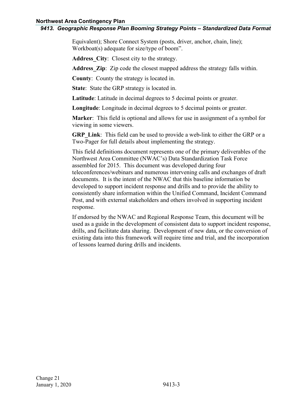## *9413. Geographic Response Plan Booming Strategy Points – Standardized Data Format*

Equivalent); Shore Connect System (posts, driver, anchor, chain, line); Workboat(s) adequate for size/type of boom".

**Address\_City**:Closest city to the strategy.

Address **Zip**: Zip code the closest mapped address the strategy falls within.

**County**: County the strategy is located in.

**State**: State the GRP strategy is located in.

**Latitude**: Latitude in decimal degrees to 5 decimal points or greater.

**Longitude**: Longitude in decimal degrees to 5 decimal points or greater.

**Marker**: This field is optional and allows for use in assignment of a symbol for viewing in some viewers.

**GRP** Link: This field can be used to provide a web-link to either the GRP or a Two-Pager for full details about implementing the strategy.

This field definitions document represents one of the primary deliverables of the Northwest Area Committee (NWAC's) Data Standardization Task Force assembled for 2015. This document was developed during four teleconferences/webinars and numerous intervening calls and exchanges of draft documents. It is the intent of the NWAC that this baseline information be developed to support incident response and drills and to provide the ability to consistently share information within the Unified Command, Incident Command Post, and with external stakeholders and others involved in supporting incident response.

If endorsed by the NWAC and Regional Response Team, this document will be used as a guide in the development of consistent data to support incident response, drills, and facilitate data sharing. Development of new data, or the conversion of existing data into this framework will require time and trial, and the incorporation of lessons learned during drills and incidents.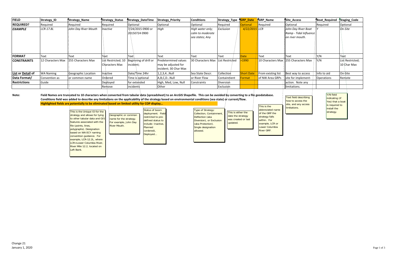| <b>FIELD</b>        | Strategy_ID       | Strategy_Name                                                                                                                                                                                    | Strategy_Status                               | Strategy_DateTime                                         | <b>Strategy_Priority</b>                                                                                                                                                                                                                                                                                                                 | <b>Conditions</b>                                                | Strategy_Type                           | <b>GRP_Date</b>   | <b>GRP_Name</b>                                                     | Site_Access                                                                               | <b>Boat_Required</b>                                                                          | Staging_Code                    |
|---------------------|-------------------|--------------------------------------------------------------------------------------------------------------------------------------------------------------------------------------------------|-----------------------------------------------|-----------------------------------------------------------|------------------------------------------------------------------------------------------------------------------------------------------------------------------------------------------------------------------------------------------------------------------------------------------------------------------------------------------|------------------------------------------------------------------|-----------------------------------------|-------------------|---------------------------------------------------------------------|-------------------------------------------------------------------------------------------|-----------------------------------------------------------------------------------------------|---------------------------------|
| <b>REQUIRED?</b>    | Required          | Required                                                                                                                                                                                         | Required                                      | Optional                                                  | Optional                                                                                                                                                                                                                                                                                                                                 | Optional                                                         | Required                                | <b>Optional</b>   | Required                                                            | Optional                                                                                  | Required                                                                                      | Optional                        |
| <b>EXAMPLE</b>      | LCR-17.8L         | John Day River Mouth                                                                                                                                                                             | <i>nactive</i>                                | 7/24/2015 0900 or<br>20150724 0900                        | High                                                                                                                                                                                                                                                                                                                                     | High water only;<br>calm to moderate<br>sea states; Any          | Exclusion                               | 4/22/2015 LCR     |                                                                     | John Day River Boat<br>Ramp - Tidal Influence<br>on river mouth.                          |                                                                                               | On-Site                         |
| <b>FORMAT</b>       | Text              | Text                                                                                                                                                                                             | Tęxt                                          | Text                                                      | Text                                                                                                                                                                                                                                                                                                                                     | <b>Text</b>                                                      | Text                                    | <b>Date</b>       | <b>Text</b>                                                         | Text                                                                                      | Y/N                                                                                           | Text                            |
| <b>CONSTRAINTS</b>  | 12 Characters Max | 255 Characters Max                                                                                                                                                                               | List Restricted; 10<br><b>Characters Max</b>  | Beginning of drill or<br>incident:                        | Predetermined values<br>may be adjusted for<br>incident; 30 Char Max                                                                                                                                                                                                                                                                     | 30 Characters Max                                                | List Restricted                         | >1990             | 10 Characters Max                                                   | 255 Characters Max                                                                        | Y/N                                                                                           | List Restricted;<br>10 Char Max |
| List or Detail of   | <b>WA Naming</b>  | Geographic Location                                                                                                                                                                              | Inactive                                      | Date/Time 24hr                                            | 1,2,3,4Null                                                                                                                                                                                                                                                                                                                              | Sea State Descr.                                                 | Collection                              | <b>Short Date</b> | From existing list                                                  | Best way to access                                                                        | Info to aid                                                                                   | On-Site                         |
| Data Format/        | Convention as     | or common name                                                                                                                                                                                   | Ordered                                       | Time is optional                                          | A,B,C,DNull                                                                                                                                                                                                                                                                                                                              | or River Flow                                                    | Containment                             | Format            | of NW Area GRPs                                                     | site for implement-                                                                       | <b>Operations</b>                                                                             | Remote                          |
| <b>Restrictions</b> | Guide             |                                                                                                                                                                                                  | Deployed                                      | for extended                                              | High, Med, Low, Null                                                                                                                                                                                                                                                                                                                     | Constraints                                                      | Diversion                               |                   |                                                                     | action. Note any                                                                          |                                                                                               |                                 |
|                     |                   |                                                                                                                                                                                                  | Remove                                        | incidents                                                 | Other                                                                                                                                                                                                                                                                                                                                    |                                                                  | Exclusion                               |                   |                                                                     | limitations.                                                                              |                                                                                               |                                 |
| Note:               |                   | Highlighted fields are potentially to be eliminated based on limited utility for COP display<br>This is the Unique ID for the<br>strategy and allows for tying<br>1213 has steh zeludet zadto ot | Geographic or common<br>namo for the stratogy | Status of boom<br>deployment. Field<br>restricted to pre- | Field Names are truncated to 10 characters when converted from tabular data (spreadsheet) to an ArcGIS Shapefile. This can be avoided by converting to a file geodatabase.<br>Conditions field was added to describe any limitations on the applicability of the strategy based on environmental conditions (sea state) or current/flow. | Type of Strategy:<br>Collection, Containment,<br>Deflection (aka | This is either the<br>date the strategy |                   | This is the<br>abbreviated name<br>of the GRP the<br>strategy falls | <b>Text field describing</b><br>how to access the<br>site, and any access<br>limitations. | Y/N field<br>indicating (if<br>Yes) that a boat<br>is required to<br>install the<br>strategy. |                                 |

was created or last updated. nection (aka **Diversion), or Exclusion** (aka Protection). Single designation allowed.

name for the strategy. For example, John Day River Mouth.

to other tabular data and GIS features associated with the file (points, lines, polygraphs). Designation based on WA ECY naming convention guidance. For example, LCR-12.2L, where LCR=Lower Columbia River, River Mile 12.2, located on Left Bank.

strategy falls within. For example, LCR or Lower Columbia River GRP.

restricted to predefined status to include: Inactive, Planned (ordered), Deployed...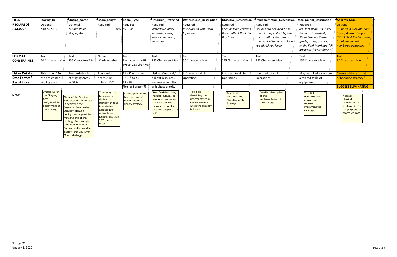| <b>FIELD</b>        | Staging_ID                                                                               | Staging_Name                                                                                                                                                                                                                                                                           | fBoom_Length                                                                                                                                                           | fBoom_Type                                                                     | <b>TResource Protected</b>                                                                                                                              | <b>Watercourse_Description</b>                                                                                 | TObjective_Description                                               | <b>Implementation Description</b>                                                                                                               | Tequipment Description                                                                                                                                              | <b>TAddress Num</b>                                                                                                                |
|---------------------|------------------------------------------------------------------------------------------|----------------------------------------------------------------------------------------------------------------------------------------------------------------------------------------------------------------------------------------------------------------------------------------|------------------------------------------------------------------------------------------------------------------------------------------------------------------------|--------------------------------------------------------------------------------|---------------------------------------------------------------------------------------------------------------------------------------------------------|----------------------------------------------------------------------------------------------------------------|----------------------------------------------------------------------|-------------------------------------------------------------------------------------------------------------------------------------------------|---------------------------------------------------------------------------------------------------------------------------------------------------------------------|------------------------------------------------------------------------------------------------------------------------------------|
| <b>REQUIRED?</b>    | Optional                                                                                 | Optional                                                                                                                                                                                                                                                                               | Required                                                                                                                                                               | Required                                                                       | Required                                                                                                                                                | Required                                                                                                       | Required                                                             | Required                                                                                                                                        | Required                                                                                                                                                            | <b>Optional</b>                                                                                                                    |
| <b>EXAMPLE</b>      | XXX-XC-SA??                                                                              | <b>Tongue Point</b><br><b>Staging Area</b>                                                                                                                                                                                                                                             |                                                                                                                                                                        | $800$ $B3 - 24"$                                                               | Waterfowl, other<br>sensitive nesting<br>species, wetlands,<br>year-round.                                                                              | <b>River Mouth with Tidal</b><br><b>Influence</b>                                                              | Keep oil from entering<br>the mouth of the John<br>Day River.        | Use boat to deploy 800' of<br>boom in single stretch from<br>point south of river mouth,<br>angling NW to anchor along<br>raised railway levee. | 800 feet Boom-B3 (River<br>Boom or Equivalent);<br><b>Shore Connect System</b><br>(posts, driver, anchor,<br>chain, line); Workboat(s)<br>adequate for size/type of | "100" as in 100 SW Front<br><b>Street, Astoria Oregon</b><br>97103; Text field to allow<br>for alpha numeric<br>numbered addresses |
| <b>FORMAT</b>       | Text                                                                                     | Text                                                                                                                                                                                                                                                                                   | Numeric                                                                                                                                                                | Text                                                                           | <b>Text</b>                                                                                                                                             | <b>Text</b>                                                                                                    | Text                                                                 | <b>Text</b>                                                                                                                                     | <b>Text</b>                                                                                                                                                         | <b>Fext</b>                                                                                                                        |
| <b>CONSTRAINTS</b>  | 20 Characters Max                                                                        | 255 Characters Max                                                                                                                                                                                                                                                                     | Whole numbers                                                                                                                                                          | <b>Restricted to WRRL</b><br>Types; 255 Char Max                               | 255 Characters Max                                                                                                                                      | 50 Characters Max                                                                                              | 255 Characters Max                                                   | 255 Characters Max                                                                                                                              | 255 Characters Max                                                                                                                                                  | 10 Characters Max                                                                                                                  |
| List or Detail of   | This is the ID for                                                                       | From existing list                                                                                                                                                                                                                                                                     | Rounded to                                                                                                                                                             | B1 42" or Larger                                                               | Listing of natural /                                                                                                                                    | Info used to aid in                                                                                            | Info used to aid in                                                  | Info used to aid in                                                                                                                             | May be linked instead/to                                                                                                                                            | Closest address to site                                                                                                            |
| Data Format/        | the designated                                                                           | of Staging Areas                                                                                                                                                                                                                                                                       | nearest 100'                                                                                                                                                           | B2 18" to 41"                                                                  | habitat resources                                                                                                                                       | Operations                                                                                                     | Operations.                                                          | Operations.                                                                                                                                     | a related table of                                                                                                                                                  | of booming strategy                                                                                                                |
| <b>Restrictions</b> | staging area.                                                                            | in GRPs                                                                                                                                                                                                                                                                                | unless $<$ 100"                                                                                                                                                        | B3 <18"                                                                        | and water supplies                                                                                                                                      |                                                                                                                |                                                                      |                                                                                                                                                 | equipment                                                                                                                                                           |                                                                                                                                    |
|                     |                                                                                          |                                                                                                                                                                                                                                                                                        |                                                                                                                                                                        | Fire (or Sorbent?)                                                             | as highest priority                                                                                                                                     |                                                                                                                |                                                                      |                                                                                                                                                 |                                                                                                                                                                     | <b>SUGGEST ELIMINATING</b>                                                                                                         |
| Note:               | Unique ID for<br>the Staging<br>Area<br>designated for<br>deployment of<br>the strategy. | Name of the Staging<br>Area designated for use<br>in deploying the<br>Strategy. May be the<br>Strategy_Name if<br>deployment is possible<br>from the site of the<br>strategy. For example,<br>John Day River Boat<br>Ramp could be used to<br>deploy John Day River<br>Mouth strategy. | <b>Total length of</b><br>boom needed to<br>deploy the<br>strategy, in feet.<br>Rounded to<br>nearest 100'<br>unless boom<br>lengths less than<br>100' can be<br>used. | A description of the<br>type and size of<br>boom needed to<br>deploy strategy. | <b>Text field describing</b><br>natural, cultural, or<br>economic resources<br>the strategy was<br>designed to protect.<br>Used to complete ICS<br>232. | <b>Text field</b><br>describing the<br>general nature of<br>the waterway in<br>which the strategy<br>is found. | <b>Text field</b><br>describing the<br>Objective of the<br>Strategy. | <b>Detailed description</b><br>of the<br>implementation of<br>the strategy.                                                                     | Text field<br>describing the<br>equipment<br>required to<br>implement the<br>strategy.                                                                              | <b>Nearest</b><br>physical<br>address to the<br>strategy site for<br>the purposes of<br>access via road.                           |